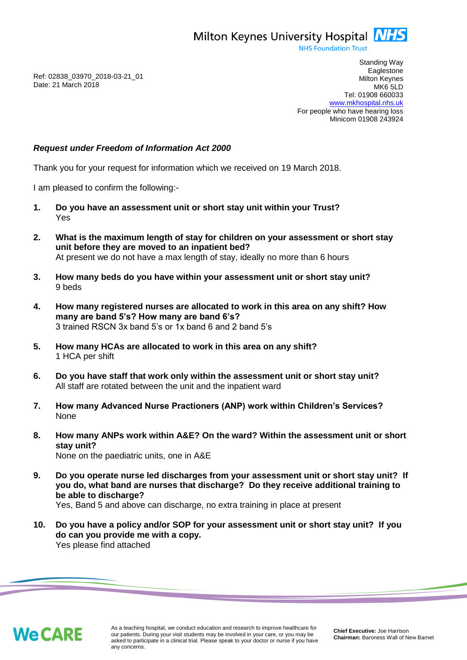Milton Keynes University Hospital **NHS** 

**NHS Foundation Trust** 

Ref: 02838\_03970\_2018-03-21\_01 Date: 21 March 2018

Standing Way **Eaglestone** Milton Keynes MK6 5LD Tel: 01908 660033 [www.mkhospital.nhs.uk](http://www.mkhospital.nhs.uk/) For people who have hearing loss Minicom 01908 243924

# *Request under Freedom of Information Act 2000*

Thank you for your request for information which we received on 19 March 2018.

I am pleased to confirm the following:-

- **1. Do you have an assessment unit or short stay unit within your Trust?**  Yes
- **2. What is the maximum length of stay for children on your assessment or short stay unit before they are moved to an inpatient bed?**  At present we do not have a max length of stay, ideally no more than 6 hours
- **3. How many beds do you have within your assessment unit or short stay unit?**  9 beds
- **4. How many registered nurses are allocated to work in this area on any shift? How many are band 5's? How many are band 6's?**  3 trained RSCN 3x band 5's or 1x band 6 and 2 band 5's
- **5. How many HCAs are allocated to work in this area on any shift?**  1 HCA per shift
- **6. Do you have staff that work only within the assessment unit or short stay unit?**  All staff are rotated between the unit and the inpatient ward
- **7. How many Advanced Nurse Practioners (ANP) work within Children's Services?** None
- **8. How many ANPs work within A&E? On the ward? Within the assessment unit or short stay unit?**  None on the paediatric units, one in A&E
- **9. Do you operate nurse led discharges from your assessment unit or short stay unit? If you do, what band are nurses that discharge? Do they receive additional training to be able to discharge?**

Yes, Band 5 and above can discharge, no extra training in place at present

**10. Do you have a policy and/or SOP for your assessment unit or short stay unit? If you do can you provide me with a copy.**  Yes please find attached